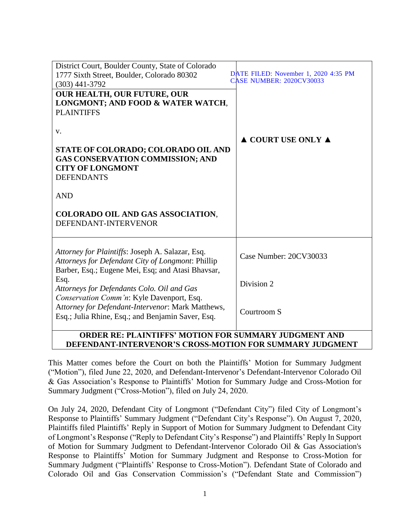| District Court, Boulder County, State of Colorado                              |                                                                         |
|--------------------------------------------------------------------------------|-------------------------------------------------------------------------|
| 1777 Sixth Street, Boulder, Colorado 80302                                     | DATE FILED: November 1, 2020 4:35 PM<br><b>CASE NUMBER: 2020CV30033</b> |
| $(303)$ 441-3792                                                               |                                                                         |
| <b>OUR HEALTH, OUR FUTURE, OUR</b>                                             |                                                                         |
| LONGMONT; AND FOOD & WATER WATCH,                                              |                                                                         |
| <b>PLAINTIFFS</b>                                                              |                                                                         |
|                                                                                |                                                                         |
| V.                                                                             |                                                                         |
|                                                                                | $\triangle$ COURT USE ONLY $\triangle$                                  |
| STATE OF COLORADO; COLORADO OIL AND<br><b>GAS CONSERVATION COMMISSION; AND</b> |                                                                         |
| <b>CITY OF LONGMONT</b>                                                        |                                                                         |
| <b>DEFENDANTS</b>                                                              |                                                                         |
|                                                                                |                                                                         |
| <b>AND</b>                                                                     |                                                                         |
|                                                                                |                                                                         |
| <b>COLORADO OIL AND GAS ASSOCIATION,</b>                                       |                                                                         |
| DEFENDANT-INTERVENOR                                                           |                                                                         |
|                                                                                |                                                                         |
|                                                                                |                                                                         |
| Attorney for Plaintiffs: Joseph A. Salazar, Esq.                               | Case Number: 20CV30033                                                  |
| Attorneys for Defendant City of Longmont: Phillip                              |                                                                         |
| Barber, Esq.; Eugene Mei, Esq; and Atasi Bhavsar,                              |                                                                         |
| Esq.<br>Attorneys for Defendants Colo. Oil and Gas                             | Division 2                                                              |
| Conservation Comm'n: Kyle Davenport, Esq.                                      |                                                                         |
| Attorney for Defendant-Intervenor: Mark Matthews,                              |                                                                         |
| Esq.; Julia Rhine, Esq.; and Benjamin Saver, Esq.                              | Courtroom S                                                             |
|                                                                                |                                                                         |
| ADDED DE. DI AINTIERO MATIAN EAD CHMAA DV HIDAMENT AND                         |                                                                         |

# **ORDER RE: PLAINTIFFS' MOTION FOR SUMMARY JUDGMENT AND DEFENDANT-INTERVENOR'S CROSS-MOTION FOR SUMMARY JUDGMENT**

This Matter comes before the Court on both the Plaintiffs' Motion for Summary Judgment ("Motion"), filed June 22, 2020, and Defendant-Intervenor's Defendant-Intervenor Colorado Oil & Gas Association's Response to Plaintiffs' Motion for Summary Judge and Cross-Motion for Summary Judgment ("Cross-Motion"), filed on July 24, 2020.

On July 24, 2020, Defendant City of Longmont ("Defendant City") filed City of Longmont's Response to Plaintiffs' Summary Judgment ("Defendant City's Response"). On August 7, 2020, Plaintiffs filed Plaintiffs' Reply in Support of Motion for Summary Judgment to Defendant City of Longmont's Response ("Reply to Defendant City's Response") and Plaintiffs' Reply In Support of Motion for Summary Judgment to Defendant-Intervenor Colorado Oil & Gas Association's Response to Plaintiffs' Motion for Summary Judgment and Response to Cross-Motion for Summary Judgment ("Plaintiffs' Response to Cross-Motion"). Defendant State of Colorado and Colorado Oil and Gas Conservation Commission's ("Defendant State and Commission")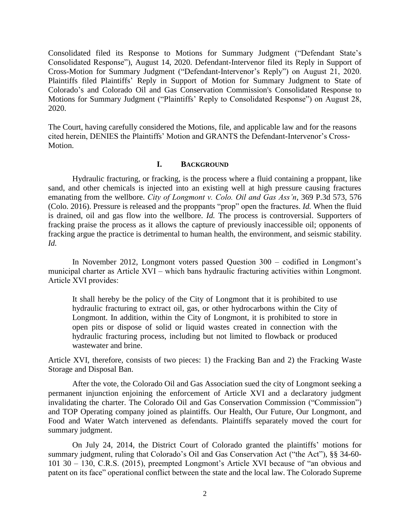Consolidated filed its Response to Motions for Summary Judgment ("Defendant State's Consolidated Response"), August 14, 2020. Defendant-Intervenor filed its Reply in Support of Cross-Motion for Summary Judgment ("Defendant-Intervenor's Reply") on August 21, 2020. Plaintiffs filed Plaintiffs' Reply in Support of Motion for Summary Judgment to State of Colorado's and Colorado Oil and Gas Conservation Commission's Consolidated Response to Motions for Summary Judgment ("Plaintiffs' Reply to Consolidated Response") on August 28, 2020.

The Court, having carefully considered the Motions, file, and applicable law and for the reasons cited herein, DENIES the Plaintiffs' Motion and GRANTS the Defendant-Intervenor's Cross-Motion.

### **I. BACKGROUND**

Hydraulic fracturing, or fracking, is the process where a fluid containing a proppant, like sand, and other chemicals is injected into an existing well at high pressure causing fractures emanating from the wellbore. *City of Longmont v. Colo. Oil and Gas Ass'n*, 369 P.3d 573, 576 (Colo. 2016). Pressure is released and the proppants "prop" open the fractures. *Id.* When the fluid is drained, oil and gas flow into the wellbore. *Id.* The process is controversial. Supporters of fracking praise the process as it allows the capture of previously inaccessible oil; opponents of fracking argue the practice is detrimental to human health, the environment, and seismic stability. *Id.* 

In November 2012, Longmont voters passed Question 300 – codified in Longmont's municipal charter as Article XVI – which bans hydraulic fracturing activities within Longmont. Article XVI provides:

It shall hereby be the policy of the City of Longmont that it is prohibited to use hydraulic fracturing to extract oil, gas, or other hydrocarbons within the City of Longmont. In addition, within the City of Longmont, it is prohibited to store in open pits or dispose of solid or liquid wastes created in connection with the hydraulic fracturing process, including but not limited to flowback or produced wastewater and brine.

Article XVI, therefore, consists of two pieces: 1) the Fracking Ban and 2) the Fracking Waste Storage and Disposal Ban.

After the vote, the Colorado Oil and Gas Association sued the city of Longmont seeking a permanent injunction enjoining the enforcement of Article XVI and a declaratory judgment invalidating the charter. The Colorado Oil and Gas Conservation Commission ("Commission") and TOP Operating company joined as plaintiffs. Our Health, Our Future, Our Longmont, and Food and Water Watch intervened as defendants. Plaintiffs separately moved the court for summary judgment.

On July 24, 2014, the District Court of Colorado granted the plaintiffs' motions for summary judgment, ruling that Colorado's Oil and Gas Conservation Act ("the Act"), §§ 34-60- 101 30 – 130, C.R.S. (2015), preempted Longmont's Article XVI because of "an obvious and patent on its face" operational conflict between the state and the local law. The Colorado Supreme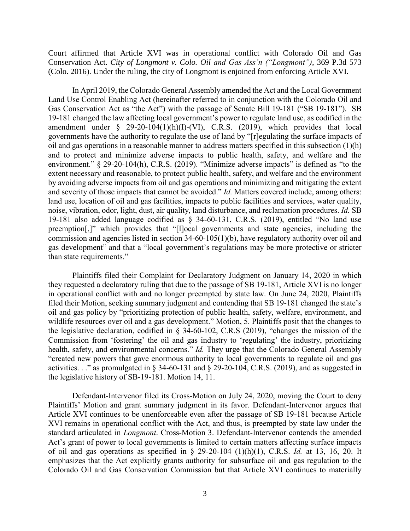Court affirmed that Article XVI was in operational conflict with Colorado Oil and Gas Conservation Act. *City of Longmont v. Colo. Oil and Gas Ass'n ("Longmont")*, 369 P.3d 573 (Colo. 2016). Under the ruling, the city of Longmont is enjoined from enforcing Article XVI.

In April 2019, the Colorado General Assembly amended the Act and the Local Government Land Use Control Enabling Act (hereinafter referred to in conjunction with the Colorado Oil and Gas Conservation Act as "the Act") with the passage of Senate Bill 19-181 ("SB 19-181"). SB 19-181 changed the law affecting local government's power to regulate land use, as codified in the amendment under  $\S$  29-20-104(1)(h)(I)-(VI), C.R.S. (2019), which provides that local governments have the authority to regulate the use of land by "[r]egulating the surface impacts of oil and gas operations in a reasonable manner to address matters specified in this subsection (1)(h) and to protect and minimize adverse impacts to public health, safety, and welfare and the environment." § 29-20-104(h), C.R.S. (2019). "Minimize adverse impacts" is defined as "to the extent necessary and reasonable, to protect public health, safety, and welfare and the environment by avoiding adverse impacts from oil and gas operations and minimizing and mitigating the extent and severity of those impacts that cannot be avoided." *Id.* Matters covered include, among others: land use, location of oil and gas facilities, impacts to public facilities and services, water quality, noise, vibration, odor, light, dust, air quality, land disturbance, and reclamation procedures. *Id.* SB 19-181 also added language codified as § 34-60-131, C.R.S. (2019), entitled "No land use preemption[,]" which provides that "[l]ocal governments and state agencies, including the commission and agencies listed in section 34-60-105(1)(b), have regulatory authority over oil and gas development" and that a "local government's regulations may be more protective or stricter than state requirements."

Plaintiffs filed their Complaint for Declaratory Judgment on January 14, 2020 in which they requested a declaratory ruling that due to the passage of SB 19-181, Article XVI is no longer in operational conflict with and no longer preempted by state law. On June 24, 2020, Plaintiffs filed their Motion, seeking summary judgment and contending that SB 19-181 changed the state's oil and gas policy by "prioritizing protection of public health, safety, welfare, environment, and wildlife resources over oil and a gas development." Motion, 5. Plaintiffs posit that the changes to the legislative declaration, codified in § 34-60-102, C.R.S (2019), "changes the mission of the Commission from 'fostering' the oil and gas industry to 'regulating' the industry, prioritizing health, safety, and environmental concerns." *Id.* They urge that the Colorado General Assembly "created new powers that gave enormous authority to local governments to regulate oil and gas activities. . ." as promulgated in § 34-60-131 and § 29-20-104, C.R.S. (2019), and as suggested in the legislative history of SB-19-181. Motion 14, 11.

Defendant-Intervenor filed its Cross-Motion on July 24, 2020, moving the Court to deny Plaintiffs' Motion and grant summary judgment in its favor. Defendant-Intervenor argues that Article XVI continues to be unenforceable even after the passage of SB 19-181 because Article XVI remains in operational conflict with the Act, and thus, is preempted by state law under the standard articulated in *Longmont*. Cross-Motion 3. Defendant-Intervenor contends the amended Act's grant of power to local governments is limited to certain matters affecting surface impacts of oil and gas operations as specified in § 29-20-104 (1)(h)(1), C.R.S. *Id.* at 13, 16, 20. It emphasizes that the Act explicitly grants authority for subsurface oil and gas regulation to the Colorado Oil and Gas Conservation Commission but that Article XVI continues to materially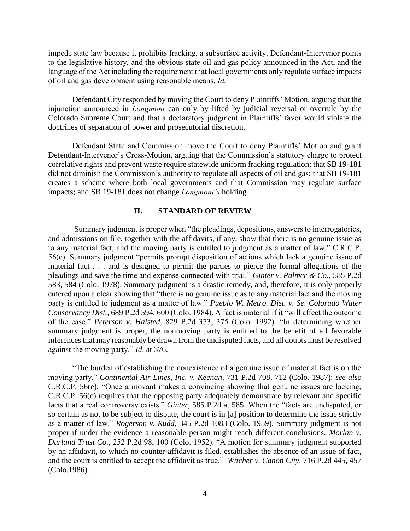impede state law because it prohibits fracking, a subsurface activity. Defendant-Intervenor points to the legislative history, and the obvious state oil and gas policy announced in the Act, and the language of the Act including the requirement that local governments only regulate surface impacts of oil and gas development using reasonable means. *Id.*

Defendant City responded by moving the Court to deny Plaintiffs' Motion, arguing that the injunction announced in *Longmont* can only by lifted by judicial reversal or overrule by the Colorado Supreme Court and that a declaratory judgment in Plaintiffs' favor would violate the doctrines of separation of power and prosecutorial discretion.

Defendant State and Commission move the Court to deny Plaintiffs' Motion and grant Defendant-Intervenor's Cross-Motion, arguing that the Commission's statutory charge to protect correlative rights and prevent waste require statewide uniform fracking regulation; that SB 19-181 did not diminish the Commission's authority to regulate all aspects of oil and gas; that SB 19-181 creates a scheme where both local governments and that Commission may regulate surface impacts; and SB 19-181 does not change *Longmont's* holding.

# **II. STANDARD OF REVIEW**

Summary judgment is proper when "the pleadings, depositions, answers to interrogatories, and admissions on file, together with the affidavits, if any, show that there is no genuine issue as to any material fact, and the moving party is entitled to judgment as a matter of law." C.R.C.P. 56(c). Summary judgment "permits prompt disposition of actions which lack a genuine issue of material fact . . . and is designed to permit the parties to pierce the formal allegations of the pleadings and save the time and expense connected with trial." *Ginter v. Palmer & Co.*, 585 P.2d 583, 584 (Colo. 1978). Summary judgment is a drastic remedy, and, therefore, it is only properly entered upon a clear showing that "there is no genuine issue as to any material fact and the moving party is entitled to judgment as a matter of law." *Pueblo W. Metro. Dist. v. Se. Colorado Water Conservancy Dist.*, 689 P.2d 594, 600 (Colo. 1984). A fact is material if it "will affect the outcome of the case." *Peterson v. Halsted*, 829 P.2d 373, 375 (Colo. 1992). "In determining whether summary judgment is proper, the nonmoving party is entitled to the benefit of all favorable inferences that may reasonably be drawn from the undisputed facts, and all doubts must be resolved against the moving party." *Id*. at 376.

"The burden of establishing the nonexistence of a genuine issue of material fact is on the moving party." *Continental Air Lines, Inc. v. Keenan*, 731 P.2d 708, 712 (Colo. 1987); *see also* C.R.C.P. 56(e). "Once a movant makes a convincing showing that genuine issues are lacking, C.R.C.P. 56(e) requires that the opposing party adequately demonstrate by relevant and specific facts that a real controversy exists." *Ginter*, 585 P.2d at 585. When the "facts are undisputed, or so certain as not to be subject to dispute, the court is in [a] position to determine the issue strictly as a matter of law." *Rogerson v. Rudd*, 345 P.2d 1083 (Colo. 1959). Summary judgment is not proper if under the evidence a reasonable person might reach different conclusions. *Morlan v. Durland Trust Co.*, 252 P.2d 98, 100 (Colo. 1952). "A motion for summary judgment supported by an affidavit, to which no counter-affidavit is filed, establishes the absence of an issue of fact, and the court is entitled to accept the affidavit as true." *Witcher v. Canon City,* 716 P.2d 445, 457 (Colo.1986).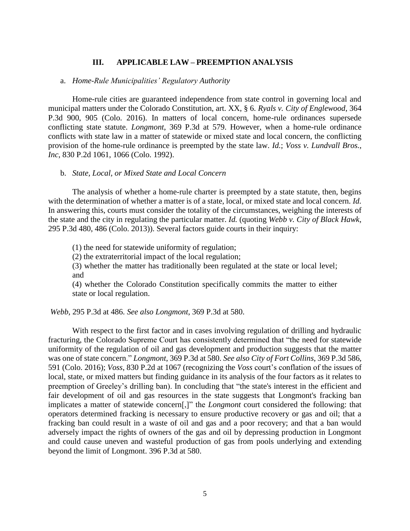# **III. APPLICABLE LAW – PREEMPTION ANALYSIS**

#### a. *Home-Rule Municipalities' Regulatory Authority*

Home-rule cities are guaranteed independence from state control in governing local and municipal matters under the Colorado Constitution, art. XX, § 6. *Ryals v. City of Englewood*, 364 P.3d 900, 905 (Colo. 2016). In matters of local concern, home-rule ordinances supersede conflicting state statute. *Longmont*, 369 P.3d at 579. However, when a home-rule ordinance conflicts with state law in a matter of statewide or mixed state and local concern, the conflicting provision of the home-rule ordinance is preempted by the state law. *Id.*; *Voss v. Lundvall Bros.*, *Inc*, 830 P.2d 1061, 1066 (Colo. 1992).

### b. *State, Local, or Mixed State and Local Concern*

The analysis of whether a home-rule charter is preempted by a state statute, then, begins with the determination of whether a matter is of a state, local, or mixed state and local concern. *Id.* In answering this, courts must consider the totality of the circumstances, weighing the interests of the state and the city in regulating the particular matter. *Id.* (quoting *Webb v. City of Black Hawk*, 295 P.3d 480, 486 (Colo. 2013)). Several factors guide courts in their inquiry:

(1) the need for statewide uniformity of regulation;

(2) the extraterritorial impact of the local regulation;

(3) whether the matter has traditionally been regulated at the state or local level; and

(4) whether the Colorado Constitution specifically commits the matter to either state or local regulation.

*Webb*, 295 P.3d at 486. *See also Longmont*, 369 P.3d at 580.

With respect to the first factor and in cases involving regulation of drilling and hydraulic fracturing, the Colorado Supreme Court has consistently determined that "the need for statewide uniformity of the regulation of oil and gas development and production suggests that the matter was one of state concern." *Longmont*, 369 P.3d at 580. *See also City of Fort Collins*, 369 P.3d 586, 591 (Colo. 2016); *Voss*, 830 P.2d at 1067 (recognizing the *Voss* court's conflation of the issues of local, state, or mixed matters but finding guidance in its analysis of the four factors as it relates to preemption of Greeley's drilling ban). In concluding that "the state's interest in the efficient and fair development of oil and gas resources in the state suggests that Longmont's fracking ban implicates a matter of statewide concern[,]" the *Longmont* court considered the following: that operators determined fracking is necessary to ensure productive recovery or gas and oil; that a fracking ban could result in a waste of oil and gas and a poor recovery; and that a ban would adversely impact the rights of owners of the gas and oil by depressing production in Longmont and could cause uneven and wasteful production of gas from pools underlying and extending beyond the limit of Longmont. 396 P.3d at 580.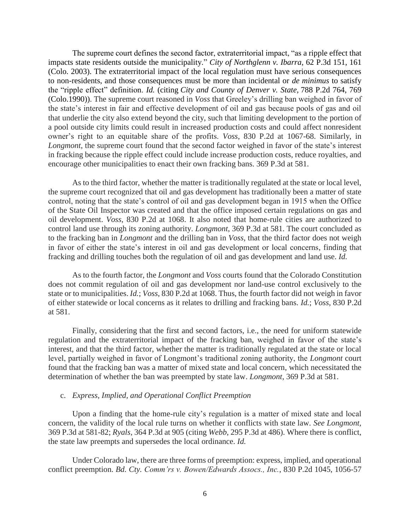The supreme court defines the second factor, extraterritorial impact, "as a ripple effect that impacts state residents outside the municipality." *City of Northglenn v. Ibarra*, 62 P.3d 151, 161 (Colo. 2003). The extraterritorial impact of the local regulation must have serious consequences to non-residents, and those consequences must be more than incidental or *de minimus* to satisfy the "ripple effect" definition. *Id.* (citing *City and County of Denver v. State,* 788 P.2d 764, 769 (Colo.1990)). The supreme court reasoned in *Voss* that Greeley's drilling ban weighed in favor of the state's interest in fair and effective development of oil and gas because pools of gas and oil that underlie the city also extend beyond the city, such that limiting development to the portion of a pool outside city limits could result in increased production costs and could affect nonresident owner's right to an equitable share of the profits. *Voss*, 830 P.2d at 1067-68. Similarly, in *Longmont*, the supreme court found that the second factor weighed in favor of the state's interest in fracking because the ripple effect could include increase production costs, reduce royalties, and encourage other municipalities to enact their own fracking bans. 369 P.3d at 581.

As to the third factor, whether the matter is traditionally regulated at the state or local level, the supreme court recognized that oil and gas development has traditionally been a matter of state control, noting that the state's control of oil and gas development began in 1915 when the Office of the State Oil Inspector was created and that the office imposed certain regulations on gas and oil development. *Voss*, 830 P.2d at 1068. It also noted that home-rule cities are authorized to control land use through its zoning authority. *Longmont*, 369 P.3d at 581. The court concluded as to the fracking ban in *Longmont* and the drilling ban in *Voss*, that the third factor does not weigh in favor of either the state's interest in oil and gas development or local concerns, finding that fracking and drilling touches both the regulation of oil and gas development and land use. *Id.*

As to the fourth factor, the *Longmont* and *Voss* courts found that the Colorado Constitution does not commit regulation of oil and gas development nor land-use control exclusively to the state or to municipalities. *Id.*; *Voss*, 830 P.2d at 1068. Thus, the fourth factor did not weigh in favor of either statewide or local concerns as it relates to drilling and fracking bans. *Id.*; *Voss*, 830 P.2d at 581.

Finally, considering that the first and second factors, i.e., the need for uniform statewide regulation and the extraterritorial impact of the fracking ban, weighed in favor of the state's interest, and that the third factor, whether the matter is traditionally regulated at the state or local level, partially weighed in favor of Longmont's traditional zoning authority, the *Longmont* court found that the fracking ban was a matter of mixed state and local concern, which necessitated the determination of whether the ban was preempted by state law. *Longmont*, 369 P.3d at 581.

## c. *Express, Implied, and Operational Conflict Preemption*

Upon a finding that the home-rule city's regulation is a matter of mixed state and local concern, the validity of the local rule turns on whether it conflicts with state law. *See Longmont,* 369 P.3d at 581-82; *Ryals*, 364 P.3d at 905 (citing *Webb*, 295 P.3d at 486). Where there is conflict, the state law preempts and supersedes the local ordinance. *Id.* 

Under Colorado law, there are three forms of preemption: express, implied, and operational conflict preemption. *Bd. Cty. Comm'rs v. Bowen/Edwards Assocs., Inc.*, 830 P.2d 1045, 1056-57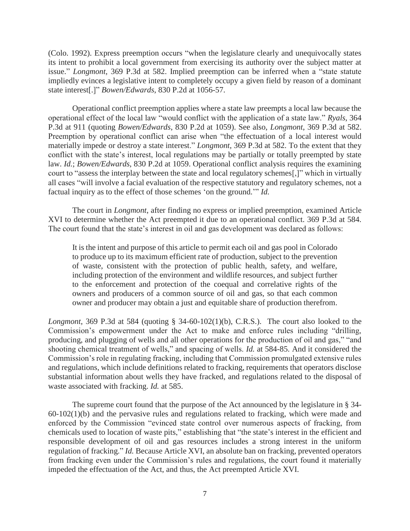(Colo. 1992). Express preemption occurs "when the legislature clearly and unequivocally states its intent to prohibit a local government from exercising its authority over the subject matter at issue." *Longmont*, 369 P.3d at 582. Implied preemption can be inferred when a "state statute impliedly evinces a legislative intent to completely occupy a given field by reason of a dominant state interest[.]" *Bowen/Edwards*, 830 P.2d at 1056-57.

Operational conflict preemption applies where a state law preempts a local law because the operational effect of the local law "would conflict with the application of a state law." *Ryals*, 364 P.3d at 911 (quoting *Bowen/Edwards*, 830 P.2d at 1059). See also, *Longmont*, 369 P.3d at 582. Preemption by operational conflict can arise when "the effectuation of a local interest would materially impede or destroy a state interest." *Longmont*, 369 P.3d at 582. To the extent that they conflict with the state's interest, local regulations may be partially or totally preempted by state law. *Id.*; *Bowen/Edwards*, 830 P.2d at 1059. Operational conflict analysis requires the examining court to "assess the interplay between the state and local regulatory schemes[,]" which in virtually all cases "will involve a facial evaluation of the respective statutory and regulatory schemes, not a factual inquiry as to the effect of those schemes 'on the ground.'" *Id.* 

The court in *Longmont*, after finding no express or implied preemption, examined Article XVI to determine whether the Act preempted it due to an operational conflict. 369 P.3d at 584. The court found that the state's interest in oil and gas development was declared as follows:

It is the intent and purpose of this article to permit each oil and gas pool in Colorado to produce up to its maximum efficient rate of production, subject to the prevention of waste, consistent with the protection of public health, safety, and welfare, including protection of the environment and wildlife resources, and subject further to the enforcement and protection of the coequal and correlative rights of the owners and producers of a common source of oil and gas, so that each common owner and producer may obtain a just and equitable share of production therefrom.

*Longmont*, 369 P.3d at 584 (quoting § 34-60-102(1)(b), C.R.S.). The court also looked to the Commission's empowerment under the Act to make and enforce rules including "drilling, producing, and plugging of wells and all other operations for the production of oil and gas," "and shooting chemical treatment of wells," and spacing of wells. *Id.* at 584-85. And it considered the Commission's role in regulating fracking, including that Commission promulgated extensive rules and regulations, which include definitions related to fracking, requirements that operators disclose substantial information about wells they have fracked, and regulations related to the disposal of waste associated with fracking. *Id.* at 585.

The supreme court found that the purpose of the Act announced by the legislature in § 34- 60-102(1)(b) and the pervasive rules and regulations related to fracking, which were made and enforced by the Commission "evinced state control over numerous aspects of fracking, from chemicals used to location of waste pits," establishing that "the state's interest in the efficient and responsible development of oil and gas resources includes a strong interest in the uniform regulation of fracking." *Id.* Because Article XVI, an absolute ban on fracking, prevented operators from fracking even under the Commission's rules and regulations, the court found it materially impeded the effectuation of the Act, and thus, the Act preempted Article XVI.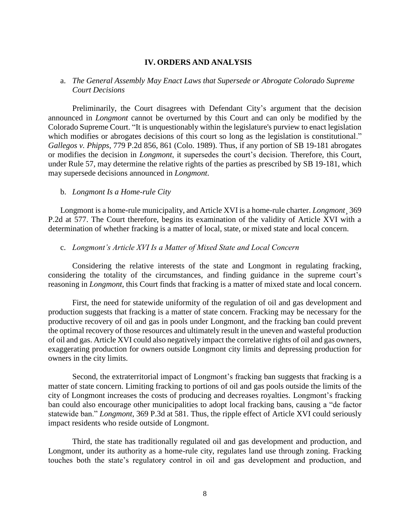### **IV. ORDERS AND ANALYSIS**

# a. *The General Assembly May Enact Laws that Supersede or Abrogate Colorado Supreme Court Decisions*

Preliminarily, the Court disagrees with Defendant City's argument that the decision announced in *Longmont* cannot be overturned by this Court and can only be modified by the Colorado Supreme Court. "It is unquestionably within the legislature's purview to enact legislation which modifies or abrogates decisions of this court so long as the legislation is constitutional." *Gallegos v. Phipps*, 779 P.2d 856, 861 (Colo. 1989). Thus, if any portion of SB 19-181 abrogates or modifies the decision in *Longmont*, it supersedes the court's decision. Therefore, this Court, under Rule 57, may determine the relative rights of the parties as prescribed by SB 19-181, which may supersede decisions announced in *Longmont*.

### b. *Longmont Is a Home-rule City*

Longmont is a home-rule municipality, and Article XVI is a home-rule charter. *Longmont*¸ 369 P.2d at 577. The Court therefore, begins its examination of the validity of Article XVI with a determination of whether fracking is a matter of local, state, or mixed state and local concern.

## c. *Longmont's Article XVI Is a Matter of Mixed State and Local Concern*

Considering the relative interests of the state and Longmont in regulating fracking, considering the totality of the circumstances, and finding guidance in the supreme court's reasoning in *Longmont*, this Court finds that fracking is a matter of mixed state and local concern.

First, the need for statewide uniformity of the regulation of oil and gas development and production suggests that fracking is a matter of state concern. Fracking may be necessary for the productive recovery of oil and gas in pools under Longmont, and the fracking ban could prevent the optimal recovery of those resources and ultimately result in the uneven and wasteful production of oil and gas. Article XVI could also negatively impact the correlative rights of oil and gas owners, exaggerating production for owners outside Longmont city limits and depressing production for owners in the city limits.

Second, the extraterritorial impact of Longmont's fracking ban suggests that fracking is a matter of state concern. Limiting fracking to portions of oil and gas pools outside the limits of the city of Longmont increases the costs of producing and decreases royalties. Longmont's fracking ban could also encourage other municipalities to adopt local fracking bans, causing a "de factor statewide ban." *Longmont*, 369 P.3d at 581. Thus, the ripple effect of Article XVI could seriously impact residents who reside outside of Longmont.

Third, the state has traditionally regulated oil and gas development and production, and Longmont, under its authority as a home-rule city, regulates land use through zoning. Fracking touches both the state's regulatory control in oil and gas development and production, and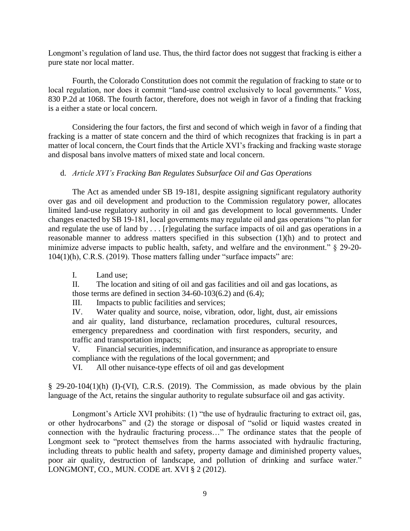Longmont's regulation of land use. Thus, the third factor does not suggest that fracking is either a pure state nor local matter.

Fourth, the Colorado Constitution does not commit the regulation of fracking to state or to local regulation, nor does it commit "land-use control exclusively to local governments." *Voss*, 830 P.2d at 1068. The fourth factor, therefore, does not weigh in favor of a finding that fracking is a either a state or local concern.

Considering the four factors, the first and second of which weigh in favor of a finding that fracking is a matter of state concern and the third of which recognizes that fracking is in part a matter of local concern, the Court finds that the Article XVI's fracking and fracking waste storage and disposal bans involve matters of mixed state and local concern.

# d. *Article XVI's Fracking Ban Regulates Subsurface Oil and Gas Operations*

The Act as amended under SB 19-181, despite assigning significant regulatory authority over gas and oil development and production to the Commission regulatory power, allocates limited land-use regulatory authority in oil and gas development to local governments. Under changes enacted by SB 19-181, local governments may regulate oil and gas operations "to plan for and regulate the use of land by . . . [r]egulating the surface impacts of oil and gas operations in a reasonable manner to address matters specified in this subsection (1)(h) and to protect and minimize adverse impacts to public health, safety, and welfare and the environment." § 29-20- 104(1)(h), C.R.S. (2019). Those matters falling under "surface impacts" are:

I. Land use;

II. The location and siting of oil and gas facilities and oil and gas locations, as those terms are defined in section  $34-60-103(6.2)$  and  $(6.4)$ ;

III. Impacts to public facilities and services;

IV. Water quality and source, noise, vibration, odor, light, dust, air emissions and air quality, land disturbance, reclamation procedures, cultural resources, emergency preparedness and coordination with first responders, security, and traffic and transportation impacts;

V. Financial securities, indemnification, and insurance as appropriate to ensure compliance with the regulations of the local government; and

VI. All other nuisance-type effects of oil and gas development

§ 29-20-104(1)(h) (I)-(VI), C.R.S. (2019). The Commission, as made obvious by the plain language of the Act, retains the singular authority to regulate subsurface oil and gas activity.

Longmont's Article XVI prohibits: (1) "the use of hydraulic fracturing to extract oil, gas, or other hydrocarbons" and (2) the storage or disposal of "solid or liquid wastes created in connection with the hydraulic fracturing process…" The ordinance states that the people of Longmont seek to "protect themselves from the harms associated with hydraulic fracturing, including threats to public health and safety, property damage and diminished property values, poor air quality, destruction of landscape, and pollution of drinking and surface water." LONGMONT, CO., MUN. CODE art. XVI § 2 (2012).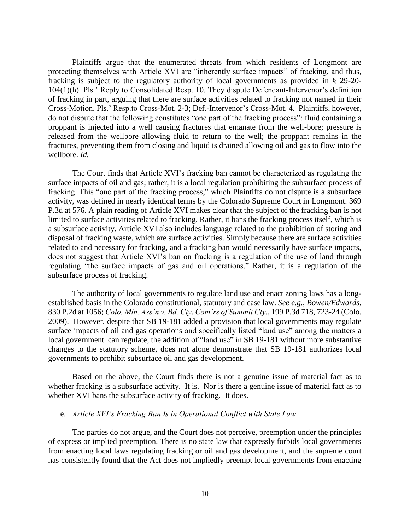Plaintiffs argue that the enumerated threats from which residents of Longmont are protecting themselves with Article XVI are "inherently surface impacts" of fracking, and thus, fracking is subject to the regulatory authority of local governments as provided in § 29-20- 104(1)(h). Pls.' Reply to Consolidated Resp. 10. They dispute Defendant-Intervenor's definition of fracking in part, arguing that there are surface activities related to fracking not named in their Cross-Motion. Pls.' Resp.to Cross-Mot. 2-3; Def.-Intervenor's Cross-Mot. 4. Plaintiffs, however, do not dispute that the following constitutes "one part of the fracking process": fluid containing a proppant is injected into a well causing fractures that emanate from the well-bore; pressure is released from the wellbore allowing fluid to return to the well; the proppant remains in the fractures, preventing them from closing and liquid is drained allowing oil and gas to flow into the wellbore. *Id.* 

The Court finds that Article XVI's fracking ban cannot be characterized as regulating the surface impacts of oil and gas; rather, it is a local regulation prohibiting the subsurface process of fracking. This "one part of the fracking process," which Plaintiffs do not dispute is a subsurface activity, was defined in nearly identical terms by the Colorado Supreme Court in Longmont. 369 P.3d at 576. A plain reading of Article XVI makes clear that the subject of the fracking ban is not limited to surface activities related to fracking. Rather, it bans the fracking process itself, which is a subsurface activity. Article XVI also includes language related to the prohibition of storing and disposal of fracking waste, which are surface activities. Simply because there are surface activities related to and necessary for fracking, and a fracking ban would necessarily have surface impacts, does not suggest that Article XVI's ban on fracking is a regulation of the use of land through regulating "the surface impacts of gas and oil operations." Rather, it is a regulation of the subsurface process of fracking.

The authority of local governments to regulate land use and enact zoning laws has a longestablished basis in the Colorado constitutional, statutory and case law. *See e.g.*, *Bowen/Edwards*, 830 P.2d at 1056; *Colo. Min. Ass'n v. Bd. Cty. Com'rs of Summit Cty.*, 199 P.3d 718, 723-24 (Colo. 2009).However, despite that SB 19-181 added a provision that local governments may regulate surface impacts of oil and gas operations and specifically listed "land use" among the matters a local government can regulate, the addition of "land use" in SB 19-181 without more substantive changes to the statutory scheme, does not alone demonstrate that SB 19-181 authorizes local governments to prohibit subsurface oil and gas development.

Based on the above, the Court finds there is not a genuine issue of material fact as to whether fracking is a subsurface activity. It is. Nor is there a genuine issue of material fact as to whether XVI bans the subsurface activity of fracking. It does.

## e. *Article XVI's Fracking Ban Is in Operational Conflict with State Law*

The parties do not argue, and the Court does not perceive, preemption under the principles of express or implied preemption. There is no state law that expressly forbids local governments from enacting local laws regulating fracking or oil and gas development, and the supreme court has consistently found that the Act does not impliedly preempt local governments from enacting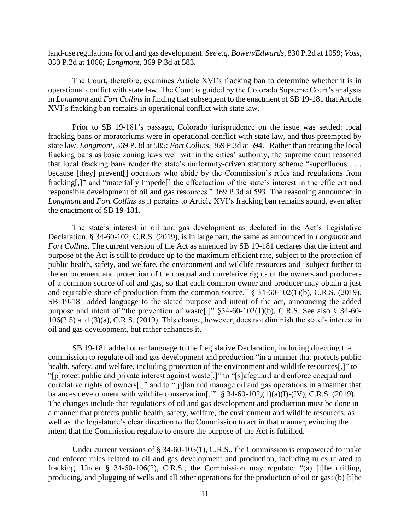land-use regulations for oil and gas development. *See e.g. Bowen/Edwards*, 830 P.2d at 1059; *Voss*, 830 P.2d at 1066; *Longmont*, 369 P.3d at 583.

The Court, therefore, examines Article XVI's fracking ban to determine whether it is in operational conflict with state law. The Court is guided by the Colorado Supreme Court's analysis in *Longmont* and *Fort Collins* in finding that subsequent to the enactment of SB 19-181 that Article XVI's fracking ban remains in operational conflict with state law.

Prior to SB 19-181's passage, Colorado jurisprudence on the issue was settled: local fracking bans or moratoriums were in operational conflict with state law, and thus preempted by state law. *Longmont*, 369 P.3d at 585; *Fort Collins*, 369 P.3d at 594. Rather than treating the local fracking bans as basic zoning laws well within the cities' authority, the supreme court reasoned that local fracking bans render the state's uniformity-driven statutory scheme "superfluous . . . because [they] prevent[] operators who abide by the Commission's rules and regulations from fracking[,]" and "materially impede<sup>[]</sup> the effectuation of the state's interest in the efficient and responsible development of oil and gas resources." 369 P.3d at 593. The reasoning announced in *Longmont* and *Fort Collins* as it pertains to Article XVI's fracking ban remains sound, even after the enactment of SB 19-181.

The state's interest in oil and gas development as declared in the Act's Legislative Declaration, § 34-60-102, C.R.S. (2019), is in large part, the same as announced in *Longmont* and *Fort Collins*. The current version of the Act as amended by SB 19-181 declares that the intent and purpose of the Act is still to produce up to the maximum efficient rate, subject to the protection of public health, safety, and welfare, the environment and wildlife resources and "subject further to the enforcement and protection of the coequal and correlative rights of the owners and producers of a common source of oil and gas, so that each common owner and producer may obtain a just and equitable share of production from the common source."  $\S$  34-60-102(1)(b), C.R.S. (2019). SB 19-181 added language to the stated purpose and intent of the act, announcing the added purpose and intent of "the prevention of waste[.]" §34-60-102(1)(b), C.R.S. See also § 34-60- 106(2.5) and (3)(a), C.R.S. (2019). This change, however, does not diminish the state's interest in oil and gas development, but rather enhances it.

SB 19-181 added other language to the Legislative Declaration, including directing the commission to regulate oil and gas development and production "in a manner that protects public health, safety, and welfare, including protection of the environment and wildlife resources[,]" to "[p]rotect public and private interest against waste[,]" to "[s]afeguard and enforce coequal and correlative rights of owners[,]" and to "[p]lan and manage oil and gas operations in a manner that balances development with wildlife conservation[.]" § 34-60-102,(1)(a)(I)-(IV), C.R.S. (2019). The changes include that regulations of oil and gas development and production must be done in a manner that protects public health, safety, welfare, the environment and wildlife resources, as well as the legislature's clear direction to the Commission to act in that manner, evincing the intent that the Commission regulate to ensure the purpose of the Act is fulfilled.

Under current versions of § 34-60-105(1), C.R.S., the Commission is empowered to make and enforce rules related to oil and gas development and production, including rules related to fracking. Under § 34-60-106(2), C.R.S., the Commission may regulate: "(a) [t]he drilling, producing, and plugging of wells and all other operations for the production of oil or gas; (b) [t]he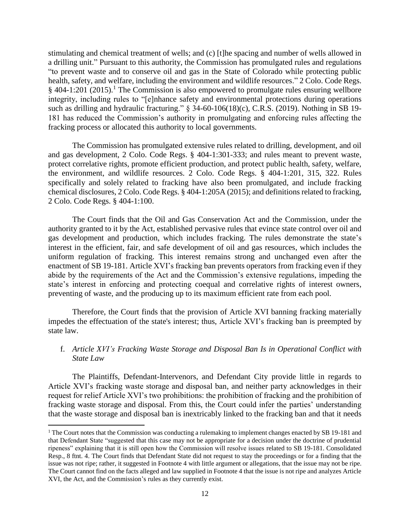stimulating and chemical treatment of wells; and (c) [t]he spacing and number of wells allowed in a drilling unit." Pursuant to this authority, the Commission has promulgated rules and regulations "to prevent waste and to conserve oil and gas in the State of Colorado while protecting public health, safety, and welfare, including the environment and wildlife resources." 2 Colo. Code Regs.  $§$  404-1:201 (2015).<sup>1</sup> The Commission is also empowered to promulgate rules ensuring wellbore integrity, including rules to "[e]nhance safety and environmental protections during operations such as drilling and hydraulic fracturing." § 34-60-106(18)(c), C.R.S. (2019). Nothing in SB 19-181 has reduced the Commission's authority in promulgating and enforcing rules affecting the fracking process or allocated this authority to local governments.

The Commission has promulgated extensive rules related to drilling, development, and oil and gas development, 2 Colo. Code Regs. § 404-1:301-333; and rules meant to prevent waste, protect correlative rights, promote efficient production, and protect public health, safety, welfare, the environment, and wildlife resources. 2 Colo. Code Regs. § 404-1:201, 315, 322. Rules specifically and solely related to fracking have also been promulgated, and include fracking chemical disclosures, 2 Colo. Code Regs. § 404-1:205A (2015); and definitions related to fracking, 2 Colo. Code Regs. § 404-1:100.

The Court finds that the Oil and Gas Conservation Act and the Commission, under the authority granted to it by the Act, established pervasive rules that evince state control over oil and gas development and production, which includes fracking. The rules demonstrate the state's interest in the efficient, fair, and safe development of oil and gas resources, which includes the uniform regulation of fracking. This interest remains strong and unchanged even after the enactment of SB 19-181. Article XVI's fracking ban prevents operators from fracking even if they abide by the requirements of the Act and the Commission's extensive regulations, impeding the state's interest in enforcing and protecting coequal and correlative rights of interest owners, preventing of waste, and the producing up to its maximum efficient rate from each pool.

Therefore, the Court finds that the provision of Article XVI banning fracking materially impedes the effectuation of the state's interest; thus, Article XVI's fracking ban is preempted by state law.

# f. *Article XVI's Fracking Waste Storage and Disposal Ban Is in Operational Conflict with State Law*

The Plaintiffs, Defendant-Intervenors, and Defendant City provide little in regards to Article XVI's fracking waste storage and disposal ban, and neither party acknowledges in their request for relief Article XVI's two prohibitions: the prohibition of fracking and the prohibition of fracking waste storage and disposal. From this, the Court could infer the parties' understanding that the waste storage and disposal ban is inextricably linked to the fracking ban and that it needs

 $\overline{\phantom{a}}$ 

<sup>&</sup>lt;sup>1</sup> The Court notes that the Commission was conducting a rulemaking to implement changes enacted by SB 19-181 and that Defendant State "suggested that this case may not be appropriate for a decision under the doctrine of prudential ripeness" explaining that it is still open how the Commission will resolve issues related to SB 19-181. Consolidated Resp., 8 ftnt. 4. The Court finds that Defendant State did not request to stay the proceedings or for a finding that the issue was not ripe; rather, it suggested in Footnote 4 with little argument or allegations, that the issue may not be ripe. The Court cannot find on the facts alleged and law supplied in Footnote 4 that the issue is not ripe and analyzes Article XVI, the Act, and the Commission's rules as they currently exist.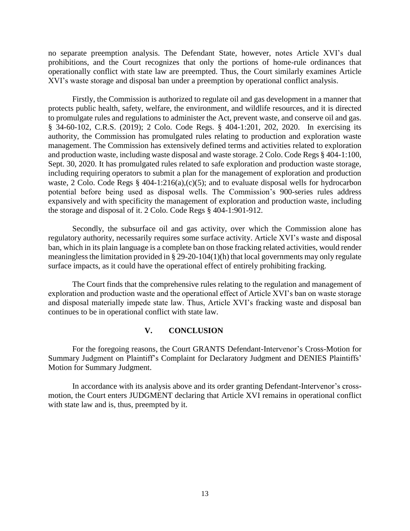no separate preemption analysis. The Defendant State, however, notes Article XVI's dual prohibitions, and the Court recognizes that only the portions of home-rule ordinances that operationally conflict with state law are preempted. Thus, the Court similarly examines Article XVI's waste storage and disposal ban under a preemption by operational conflict analysis.

Firstly, the Commission is authorized to regulate oil and gas development in a manner that protects public health, safety, welfare, the environment, and wildlife resources, and it is directed to promulgate rules and regulations to administer the Act, prevent waste, and conserve oil and gas. § 34-60-102, C.R.S. (2019); 2 Colo. Code Regs. § 404-1:201, 202, 2020. In exercising its authority, the Commission has promulgated rules relating to production and exploration waste management. The Commission has extensively defined terms and activities related to exploration and production waste, including waste disposal and waste storage. 2 Colo. Code Regs § 404-1:100, Sept. 30, 2020. It has promulgated rules related to safe exploration and production waste storage, including requiring operators to submit a plan for the management of exploration and production waste, 2 Colo. Code Regs § 404-1:216(a),(c)(5); and to evaluate disposal wells for hydrocarbon potential before being used as disposal wells. The Commission's 900-series rules address expansively and with specificity the management of exploration and production waste, including the storage and disposal of it. 2 Colo. Code Regs § 404-1:901-912.

Secondly, the subsurface oil and gas activity, over which the Commission alone has regulatory authority, necessarily requires some surface activity. Article XVI's waste and disposal ban, which in its plain language is a complete ban on those fracking related activities, would render meaningless the limitation provided in  $\S$  29-20-104(1)(h) that local governments may only regulate surface impacts, as it could have the operational effect of entirely prohibiting fracking.

The Court finds that the comprehensive rules relating to the regulation and management of exploration and production waste and the operational effect of Article XVI's ban on waste storage and disposal materially impede state law. Thus, Article XVI's fracking waste and disposal ban continues to be in operational conflict with state law.

#### **V. CONCLUSION**

For the foregoing reasons, the Court GRANTS Defendant-Intervenor's Cross-Motion for Summary Judgment on Plaintiff's Complaint for Declaratory Judgment and DENIES Plaintiffs' Motion for Summary Judgment.

In accordance with its analysis above and its order granting Defendant-Intervenor's crossmotion, the Court enters JUDGMENT declaring that Article XVI remains in operational conflict with state law and is, thus, preempted by it.